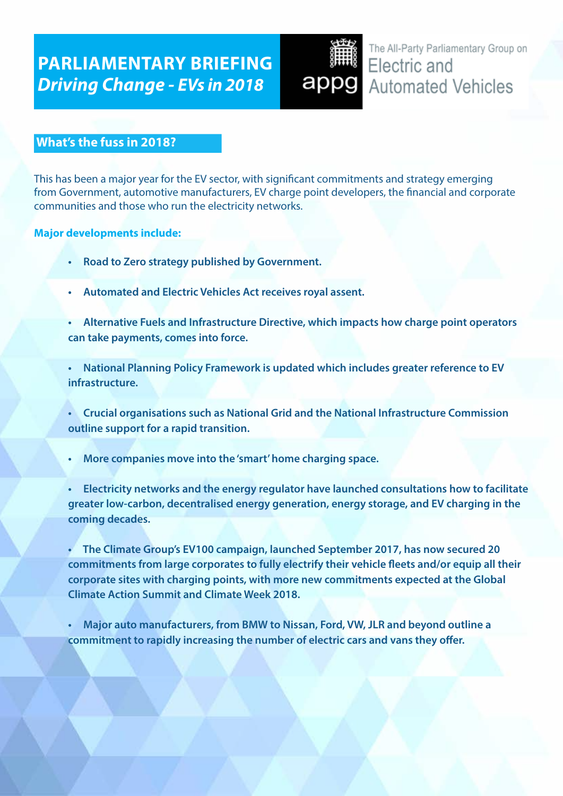# **PARLIAMENTARY BRIEFING** *Driving Change - EVs in 2018*

The All-Party Parliamentary Group on Electric and appg Automated Vehicles

# **What's the fuss in 2018?**

This has been a major year for the EV sector, with significant commitments and strategy emerging from Government, automotive manufacturers, EV charge point developers, the financial and corporate communities and those who run the electricity networks.

#### **Major developments include:**

- **Road to Zero strategy published by Government.**
- **Automated and Electric Vehicles Act receives royal assent.**
- **Alternative Fuels and Infrastructure Directive, which impacts how charge point operators can take payments, comes into force.**
- **National Planning Policy Framework is updated which includes greater reference to EV infrastructure.**

 **• Crucial organisations such as National Grid and the National Infrastructure Commission outline support for a rapid transition.**

- **More companies move into the'smart'home charging space.**
- **Electricity networks and the energy regulator have launched consultations how to facilitate greater low-carbon, decentralised energy generation, energy storage, and EV charging in the coming decades.**

 **• The Climate Group's EV100 campaign, launched September 2017, has now secured 20 commitments from large corporates to fully electrify their vehicle fleets and/or equip all their corporate sites with charging points, with more new commitments expected at the Global Climate Action Summit and Climate Week 2018.**

 **• Major auto manufacturers, from BMW to Nissan, Ford, VW, JLR and beyond outline a commitment to rapidly increasing the number of electric cars and vans they offer.**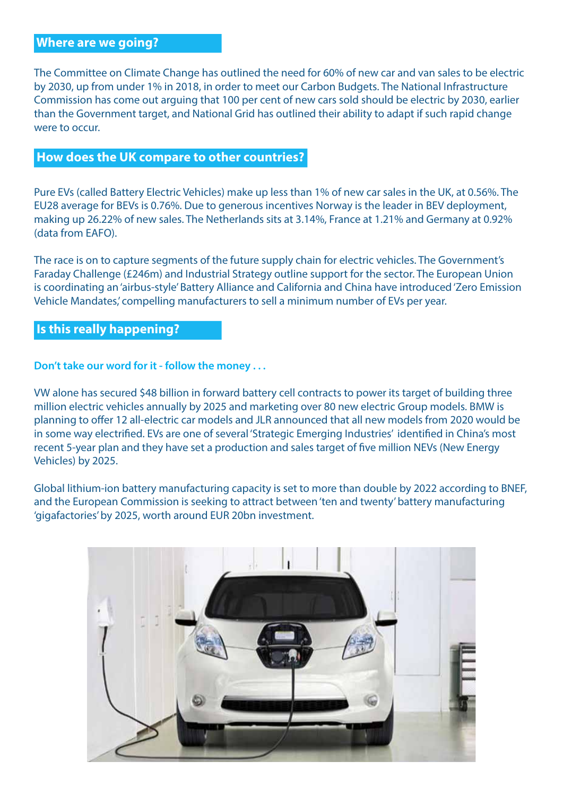#### **Where are we going?**

The Committee on Climate Change has outlined the need for 60% of new car and van sales to be electric by 2030, up from under 1% in 2018, in order to meet our Carbon Budgets. The National Infrastructure Commission has come out arguing that 100 per cent of new cars sold should be electric by 2030, earlier than the Government target, and National Grid has outlined their ability to adapt if such rapid change were to occur.

#### **How does the UK compare to other countries?**

Pure EVs (called Battery Electric Vehicles) make up less than 1% of new car sales in the UK, at 0.56%. The EU28 average for BEVs is 0.76%. Due to generous incentives Norway is the leader in BEV deployment, making up 26.22% of new sales. The Netherlands sits at 3.14%, France at 1.21% and Germany at 0.92% (data from EAFO).

The race is on to capture segments of the future supply chain for electric vehicles. The Government's Faraday Challenge (£246m) and Industrial Strategy outline support for the sector. The European Union is coordinating an 'airbus-style' Battery Alliance and California and China have introduced 'Zero Emission Vehicle Mandates,' compelling manufacturers to sell a minimum number of EVs per year.

#### **Is this really happening?**

**Don't take our word for it - follow the money . . .** 

VW alone has secured \$48 billion in forward battery cell contracts to power its target of building three million electric vehicles annually by 2025 and marketing over 80 new electric Group models. BMW is planning to offer 12 all-electric car models and JLR announced that all new models from 2020 would be in some way electrified. EVs are one of several 'Strategic Emerging Industries' identified in China's most recent 5-year plan and they have set a production and sales target of five million NEVs (New Energy Vehicles) by 2025.

Global lithium-ion battery manufacturing capacity is set to more than double by 2022 according to BNEF, and the European Commission is seeking to attract between 'ten and twenty' battery manufacturing 'gigafactories' by 2025, worth around EUR 20bn investment.

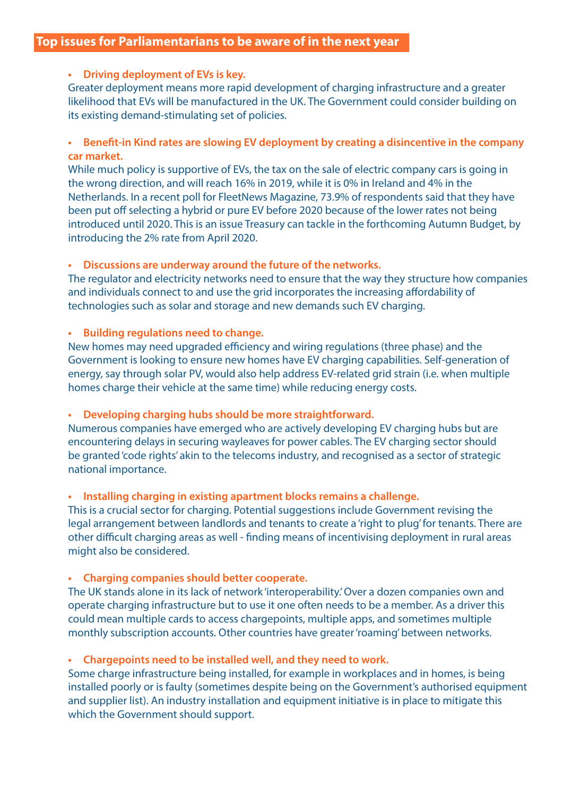#### **• Driving deployment of EVs is key.**

Greater deployment means more rapid development of charging infrastructure and a greater likelihood that EVs will be manufactured in the UK. The Government could consider building on its existing demand-stimulating set of policies.

#### **• Benefit-in Kind rates are slowing EV deployment by creating a disincentive in the company car market.**

While much policy is supportive of EVs, the tax on the sale of electric company cars is going in the wrong direction, and will reach 16% in 2019, while it is 0% in Ireland and 4% in the Netherlands. In a recent poll for FleetNews Magazine, 73.9% of respondents said that they have been put off selecting a hybrid or pure EV before 2020 because of the lower rates not being introduced until 2020. This is an issue Treasury can tackle in the forthcoming Autumn Budget, by introducing the 2% rate from April 2020.

#### **• Discussions are underway around the future of the networks.**

The regulator and electricity networks need to ensure that the way they structure how companies and individuals connect to and use the grid incorporates the increasing affordability of technologies such as solar and storage and new demands such EV charging.

#### **• Building regulations need to change.**

New homes may need upgraded efficiency and wiring regulations (three phase) and the Government is looking to ensure new homes have EV charging capabilities. Self-generation of energy, say through solar PV, would also help address EV-related grid strain (i.e. when multiple homes charge their vehicle at the same time) while reducing energy costs.

#### **• Developing charging hubs should be more straightforward.**

Numerous companies have emerged who are actively developing EV charging hubs but are encountering delays in securing wayleaves for power cables. The EV charging sector should be granted 'code rights' akin to the telecoms industry, and recognised as a sector of strategic national importance.

#### **• Installing charging in existing apartment blocks remains a challenge.**

This is a crucial sector for charging. Potential suggestions include Government revising the legal arrangement between landlords and tenants to create a 'right to plug' for tenants. There are other difficult charging areas as well - finding means of incentivising deployment in rural areas might also be considered.

#### **• Charging companies should better cooperate.**

The UK stands alone in its lack of network 'interoperability.' Over a dozen companies own and operate charging infrastructure but to use it one often needs to be a member. As a driver this could mean multiple cards to access chargepoints, multiple apps, and sometimes multiple monthly subscription accounts. Other countries have greater 'roaming' between networks.

#### **• Chargepoints need to be installed well, and they need to work.**

Some charge infrastructure being installed, for example in workplaces and in homes, is being installed poorly or is faulty (sometimes despite being on the Government's authorised equipment and supplier list). An industry installation and equipment initiative is in place to mitigate this which the Government should support.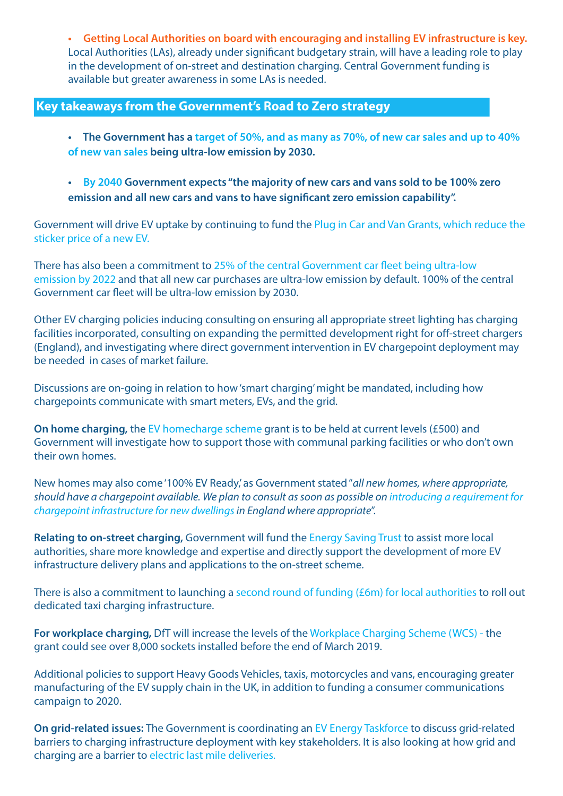**• Getting Local Authorities on board with encouraging and installing EV infrastructure is key.** Local Authorities (LAs), already under significant budgetary strain, will have a leading role to play in the development of on-street and destination charging. Central Government funding is available but greater awareness in some LAs is needed.

#### **Key takeaways from the Government's Road to Zero strategy**

- The Government has a target of 50%, and as many as 70%, of new car sales and up to 40%  **of new van sales being ultra-low emission by 2030.**
- **By 2040 Government expects "the majority of new cars and vans sold to be 100% zero emission and all new cars and vans to have significant zero emission capability".**

Government will drive EV uptake by continuing to fund the Plug in Car and Van Grants, which reduce the sticker price of a new EV.

There has also been a commitment to 25% of the central Government car fleet being ultra-low emission by 2022 and that all new car purchases are ultra-low emission by default. 100% of the central Government car fleet will be ultra-low emission by 2030.

Other EV charging policies inducing consulting on ensuring all appropriate street lighting has charging facilities incorporated, consulting on expanding the permitted development right for off-street chargers (England), and investigating where direct government intervention in EV chargepoint deployment may be needed in cases of market failure.

Discussions are on-going in relation to how 'smart charging' might be mandated, including how chargepoints communicate with smart meters, EVs, and the grid.

**On home charging,** the EV homecharge scheme grant is to be held at current levels (£500) and Government will investigate how to support those with communal parking facilities or who don't own their own homes.

New homes may also come '100% EV Ready,' as Government stated "*all new homes, where appropriate, should have a chargepoint available. We plan to consult as soon as possible on introducing a requirement for chargepoint infrastructure for new dwellings in England where appropriate*".

**Relating to on-street charging,** Government will fund the Energy Saving Trust to assist more local authorities, share more knowledge and expertise and directly support the development of more EV infrastructure delivery plans and applications to the on-street scheme.

There is also a commitment to launching a second round of funding (£6m) for local authorities to roll out dedicated taxi charging infrastructure.

**For workplace charging,** DfT will increase the levels of the Workplace Charging Scheme (WCS) - the grant could see over 8,000 sockets installed before the end of March 2019.

Additional policies to support Heavy Goods Vehicles, taxis, motorcycles and vans, encouraging greater manufacturing of the EV supply chain in the UK, in addition to funding a consumer communications campaign to 2020.

**On grid-related issues:** The Government is coordinating an EV Energy Taskforce to discuss grid-related barriers to charging infrastructure deployment with key stakeholders. It is also looking at how grid and charging are a barrier to electric last mile deliveries.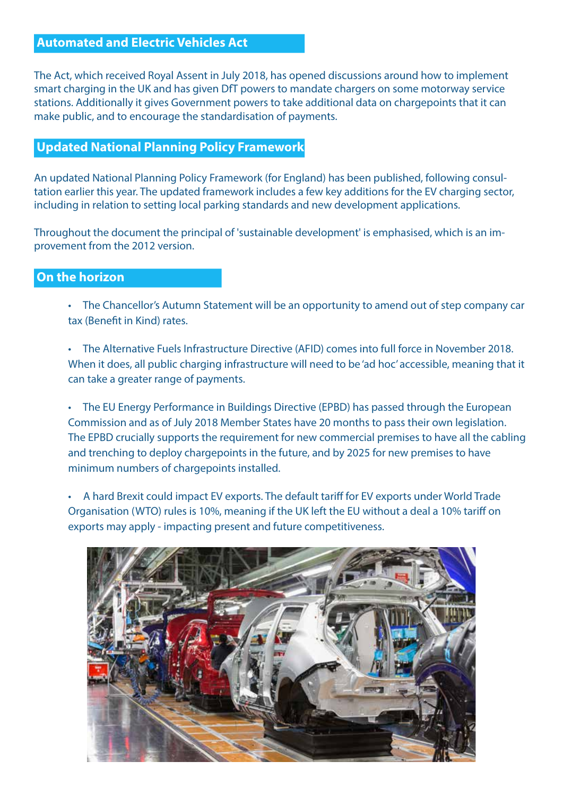# **Automated and Electric Vehicles Act**

The Act, which received Royal Assent in July 2018, has opened discussions around how to implement smart charging in the UK and has given DfT powers to mandate chargers on some motorway service stations. Additionally it gives Government powers to take additional data on chargepoints that it can make public, and to encourage the standardisation of payments.

# **Updated National Planning Policy Framework**

An updated National Planning Policy Framework (for England) has been published, following consultation earlier this year. The updated framework includes a few key additions for the EV charging sector, including in relation to setting local parking standards and new development applications.

Throughout the document the principal of 'sustainable development' is emphasised, which is an improvement from the 2012 version.

## **On the horizon**

 • The Chancellor's Autumn Statement will be an opportunity to amend out of step company car tax (Benefit in Kind) rates.

 • The Alternative Fuels Infrastructure Directive (AFID) comes into full force in November 2018. When it does, all public charging infrastructure will need to be 'ad hoc' accessible, meaning that it can take a greater range of payments.

 • The EU Energy Performance in Buildings Directive (EPBD) has passed through the European Commission and as of July 2018 Member States have 20 months to pass their own legislation. The EPBD crucially supports the requirement for new commercial premises to have all the cabling and trenching to deploy chargepoints in the future, and by 2025 for new premises to have minimum numbers of chargepoints installed.

 • A hard Brexit could impact EV exports. The default tariff for EV exports under World Trade Organisation (WTO) rules is 10%, meaning if the UK left the EU without a deal a 10% tariff on exports may apply - impacting present and future competitiveness.

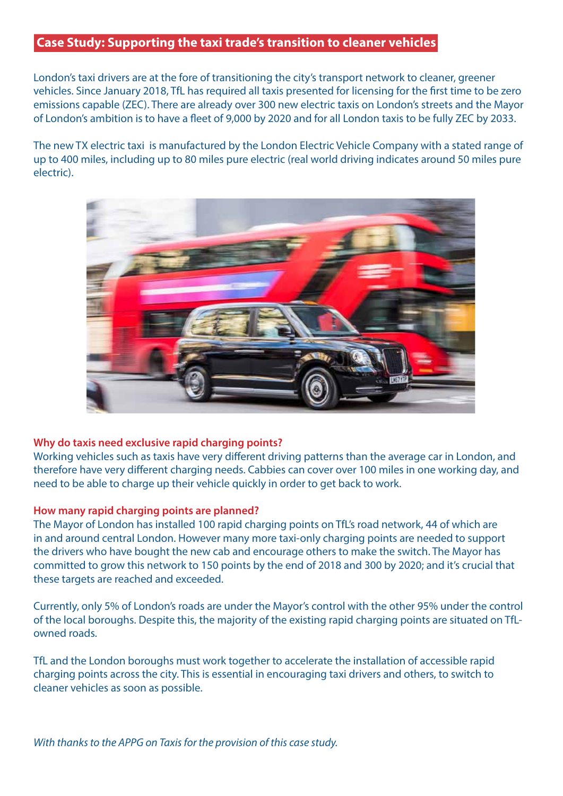## **Case Study: Supporting the taxi trade's transition to cleaner vehicles**

London's taxi drivers are at the fore of transitioning the city's transport network to cleaner, greener vehicles. Since January 2018, TfL has required all taxis presented for licensing for the first time to be zero emissions capable (ZEC). There are already over 300 new electric taxis on London's streets and the Mayor of London's ambition is to have a fleet of 9,000 by 2020 and for all London taxis to be fully ZEC by 2033.

The new TX electric taxi is manufactured by the London Electric Vehicle Company with a stated range of up to 400 miles, including up to 80 miles pure electric (real world driving indicates around 50 miles pure electric).



#### **Why do taxis need exclusive rapid charging points?**

Working vehicles such as taxis have very different driving patterns than the average car in London, and therefore have very different charging needs. Cabbies can cover over 100 miles in one working day, and need to be able to charge up their vehicle quickly in order to get back to work.

#### **How many rapid charging points are planned?**

The Mayor of London has installed 100 rapid charging points on TfL's road network, 44 of which are in and around central London. However many more taxi-only charging points are needed to support the drivers who have bought the new cab and encourage others to make the switch. The Mayor has committed to grow this network to 150 points by the end of 2018 and 300 by 2020; and it's crucial that these targets are reached and exceeded.

Currently, only 5% of London's roads are under the Mayor's control with the other 95% under the control of the local boroughs. Despite this, the majority of the existing rapid charging points are situated on TfLowned roads.

TfL and the London boroughs must work together to accelerate the installation of accessible rapid charging points across the city. This is essential in encouraging taxi drivers and others, to switch to cleaner vehicles as soon as possible.

*With thanks to the APPG on Taxis for the provision of this case study.*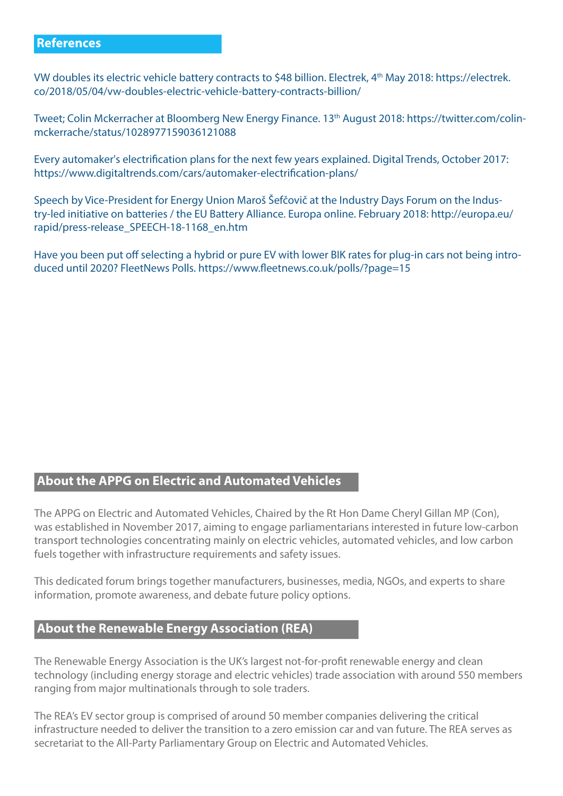#### **References**

VW doubles its electric vehicle battery contracts to \$48 billion. Electrek, 4th May 2018: https://electrek. co/2018/05/04/vw-doubles-electric-vehicle-battery-contracts-billion/

Tweet; Colin Mckerracher at Bloomberg New Energy Finance. 13th August 2018: https://twitter.com/colinmckerrache/status/1028977159036121088

Every automaker's electrification plans for the next few years explained. Digital Trends, October 2017: https://www.digitaltrends.com/cars/automaker-electrification-plans/

Speech by Vice-President for Energy Union Maroš Šefčovič at the Industry Days Forum on the Industry-led initiative on batteries / the EU Battery Alliance. Europa online. February 2018: http://europa.eu/ rapid/press-release\_SPEECH-18-1168\_en.htm

Have you been put off selecting a hybrid or pure EV with lower BIK rates for plug-in cars not being introduced until 2020? FleetNews Polls. https://www.fleetnews.co.uk/polls/?page=15

# **About the APPG on Electric and Automated Vehicles**

The APPG on Electric and Automated Vehicles, Chaired by the Rt Hon Dame Cheryl Gillan MP (Con), was established in November 2017, aiming to engage parliamentarians interested in future low-carbon transport technologies concentrating mainly on electric vehicles, automated vehicles, and low carbon fuels together with infrastructure requirements and safety issues.

This dedicated forum brings together manufacturers, businesses, media, NGOs, and experts to share information, promote awareness, and debate future policy options.

# **About the Renewable Energy Association (REA)**

The Renewable Energy Association is the UK's largest not-for-profit renewable energy and clean technology (including energy storage and electric vehicles) trade association with around 550 members ranging from major multinationals through to sole traders.

The REA's EV sector group is comprised of around 50 member companies delivering the critical infrastructure needed to deliver the transition to a zero emission car and van future. The REA serves as secretariat to the All-Party Parliamentary Group on Electric and Automated Vehicles.